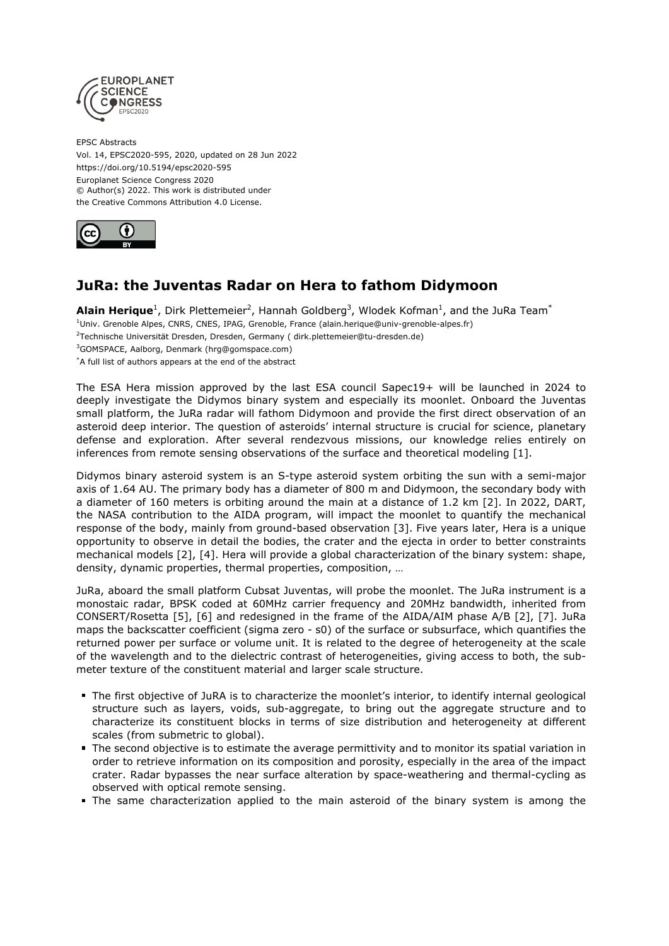

EPSC Abstracts Vol. 14, EPSC2020-595, 2020, updated on 28 Jun 2022 https://doi.org/10.5194/epsc2020-595 Europlanet Science Congress 2020 © Author(s) 2022. This work is distributed under the Creative Commons Attribution 4.0 License.



## **JuRa: the Juventas Radar on Hera to fathom Didymoon**

**Alain Herique**<sup>1</sup>, Dirk Plettemeier<sup>2</sup>, Hannah Goldberg<sup>3</sup>, Wlodek Kofman<sup>1</sup>, and the JuRa Team<sup>\*</sup> <sup>1</sup>Univ. Grenoble Alpes, CNRS, CNES, IPAG, Grenoble, France (alain.herique@univ-grenoble-alpes.fr) <sup>2</sup>Technische Universität Dresden, Dresden, Germany ( dirk.plettemeier@tu-dresden.de) <sup>3</sup>GOMSPACE, Aalborg, Denmark (hrg@gomspace.com) \*A full list of authors appears at the end of the abstract

The ESA Hera mission approved by the last ESA council Sapec19+ will be launched in 2024 to deeply investigate the Didymos binary system and especially its moonlet. Onboard the Juventas small platform, the JuRa radar will fathom Didymoon and provide the first direct observation of an asteroid deep interior. The question of asteroids' internal structure is crucial for science, planetary defense and exploration. After several rendezvous missions, our knowledge relies entirely on inferences from remote sensing observations of the surface and theoretical modeling [1].

Didymos binary asteroid system is an S-type asteroid system orbiting the sun with a semi-major axis of 1.64 AU. The primary body has a diameter of 800 m and Didymoon, the secondary body with a diameter of 160 meters is orbiting around the main at a distance of 1.2 km [2]. In 2022, DART, the NASA contribution to the AIDA program, will impact the moonlet to quantify the mechanical response of the body, mainly from ground-based observation [3]. Five years later, Hera is a unique opportunity to observe in detail the bodies, the crater and the ejecta in order to better constraints mechanical models [2], [4]. Hera will provide a global characterization of the binary system: shape, density, dynamic properties, thermal properties, composition, …

JuRa, aboard the small platform Cubsat Juventas, will probe the moonlet. The JuRa instrument is a monostaic radar, BPSK coded at 60MHz carrier frequency and 20MHz bandwidth, inherited from CONSERT/Rosetta [5], [6] and redesigned in the frame of the AIDA/AIM phase A/B [2], [7]. JuRa maps the backscatter coefficient (sigma zero - s0) of the surface or subsurface, which quantifies the returned power per surface or volume unit. It is related to the degree of heterogeneity at the scale of the wavelength and to the dielectric contrast of heterogeneities, giving access to both, the submeter texture of the constituent material and larger scale structure.

- The first objective of JuRA is to characterize the moonlet's interior, to identify internal geological structure such as layers, voids, sub-aggregate, to bring out the aggregate structure and to characterize its constituent blocks in terms of size distribution and heterogeneity at different scales (from submetric to global).
- The second objective is to estimate the average permittivity and to monitor its spatial variation in order to retrieve information on its composition and porosity, especially in the area of the impact crater. Radar bypasses the near surface alteration by space-weathering and thermal-cycling as observed with optical remote sensing.
- The same characterization applied to the main asteroid of the binary system is among the